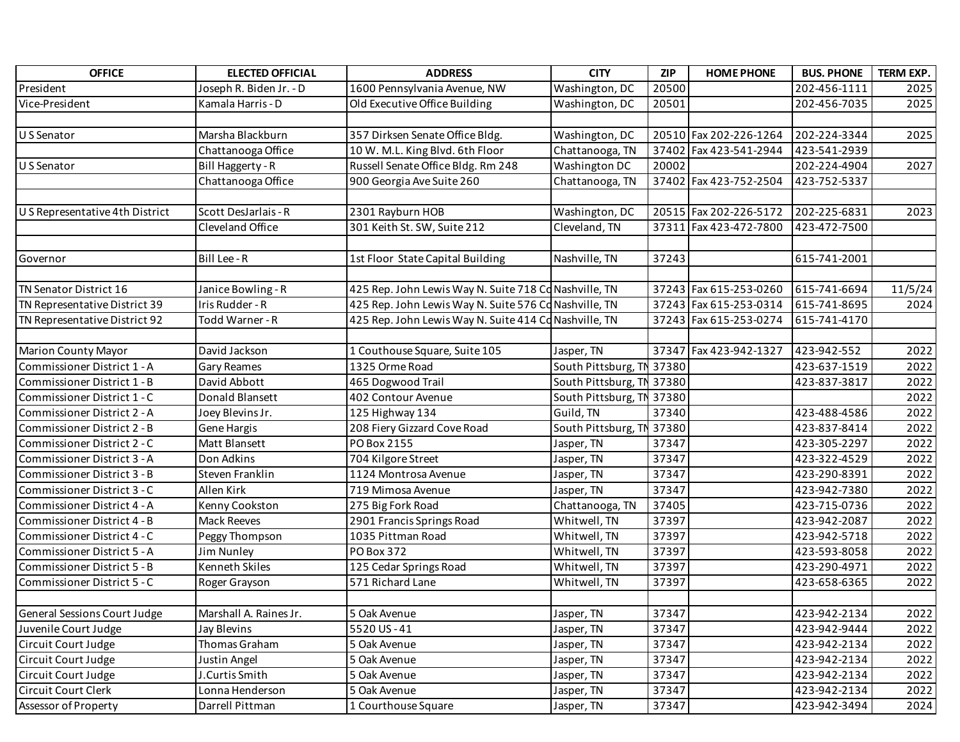| <b>OFFICE</b>                       | <b>ELECTED OFFICIAL</b> | <b>ADDRESS</b>                                        | <b>CITY</b>               | <b>ZIP</b> | <b>HOME PHONE</b>      | <b>BUS. PHONE</b> | TERM EXP. |
|-------------------------------------|-------------------------|-------------------------------------------------------|---------------------------|------------|------------------------|-------------------|-----------|
| President                           | Joseph R. Biden Jr. - D | 1600 Pennsylvania Avenue, NW                          | Washington, DC            | 20500      |                        | 202-456-1111      | 2025      |
| Vice-President                      | Kamala Harris - D       | Old Executive Office Building                         | Washington, DC            | 20501      |                        | 202-456-7035      | 2025      |
|                                     |                         |                                                       |                           |            |                        |                   |           |
| U S Senator                         | Marsha Blackburn        | 357 Dirksen Senate Office Bldg.                       | Washington, DC            |            | 20510 Fax 202-226-1264 | 202-224-3344      | 2025      |
|                                     | Chattanooga Office      | 10 W. M.L. King Blvd. 6th Floor                       | Chattanooga, TN           |            | 37402 Fax 423-541-2944 | 423-541-2939      |           |
| U S Senator                         | Bill Haggerty - R       | Russell Senate Office Bldg. Rm 248                    | Washington DC             | 20002      |                        | 202-224-4904      | 2027      |
|                                     | Chattanooga Office      | 900 Georgia Ave Suite 260                             | Chattanooga, TN           |            | 37402 Fax 423-752-2504 | 423-752-5337      |           |
|                                     |                         |                                                       |                           |            |                        |                   |           |
| U S Representative 4th District     | Scott DesJarlais - R    | 2301 Rayburn HOB                                      | Washington, DC            |            | 20515 Fax 202-226-5172 | 202-225-6831      | 2023      |
|                                     | Cleveland Office        | 301 Keith St. SW, Suite 212                           | Cleveland, TN             |            | 37311 Fax 423-472-7800 | 423-472-7500      |           |
|                                     |                         |                                                       |                           |            |                        |                   |           |
| Governor                            | Bill Lee - R            | 1st Floor State Capital Building                      | Nashville, TN             | 37243      |                        | 615-741-2001      |           |
|                                     |                         |                                                       |                           |            |                        |                   |           |
| TN Senator District 16              | Janice Bowling - R      | 425 Rep. John Lewis Way N. Suite 718 Cd Nashville, TN |                           |            | 37243 Fax 615-253-0260 | 615-741-6694      | 11/5/24   |
| TN Representative District 39       | Iris Rudder - R         | 425 Rep. John Lewis Way N. Suite 576 Cd Nashville, TN |                           |            | 37243 Fax 615-253-0314 | 615-741-8695      | 2024      |
| TN Representative District 92       | Todd Warner - R         | 425 Rep. John Lewis Way N. Suite 414 Co Nashville, TN |                           |            | 37243 Fax 615-253-0274 | 615-741-4170      |           |
|                                     |                         |                                                       |                           |            |                        |                   |           |
| <b>Marion County Mayor</b>          | David Jackson           | 1 Couthouse Square, Suite 105                         | Jasper, TN                |            | 37347 Fax 423-942-1327 | 423-942-552       | 2022      |
| Commissioner District 1 - A         | <b>Gary Reames</b>      | 1325 Orme Road                                        | South Pittsburg, TN 37380 |            |                        | 423-637-1519      | 2022      |
| Commissioner District 1 - B         | David Abbott            | 465 Dogwood Trail                                     | South Pittsburg, TN 37380 |            |                        | 423-837-3817      | 2022      |
| Commissioner District 1 - C         | Donald Blansett         | 402 Contour Avenue                                    | South Pittsburg, TN 37380 |            |                        |                   | 2022      |
| Commissioner District 2 - A         | Joey Blevins Jr.        | 125 Highway 134                                       | Guild, TN                 | 37340      |                        | 423-488-4586      | 2022      |
| Commissioner District 2 - B         | Gene Hargis             | 208 Fiery Gizzard Cove Road                           | South Pittsburg, TN 37380 |            |                        | 423-837-8414      | 2022      |
| Commissioner District 2 - C         | Matt Blansett           | PO Box 2155                                           | Jasper, TN                | 37347      |                        | 423-305-2297      | 2022      |
| Commissioner District 3 - A         | Don Adkins              | 704 Kilgore Street                                    | Jasper, TN                | 37347      |                        | 423-322-4529      | 2022      |
| Commissioner District 3 - B         | Steven Franklin         | 1124 Montrosa Avenue                                  | Jasper, TN                | 37347      |                        | 423-290-8391      | 2022      |
| Commissioner District 3 - C         | Allen Kirk              | 719 Mimosa Avenue                                     | Jasper, TN                | 37347      |                        | 423-942-7380      | 2022      |
| Commissioner District 4 - A         | Kenny Cookston          | 275 Big Fork Road                                     | Chattanooga, TN           | 37405      |                        | 423-715-0736      | 2022      |
| Commissioner District 4 - B         | Mack Reeves             | 2901 Francis Springs Road                             | Whitwell, TN              | 37397      |                        | 423-942-2087      | 2022      |
| Commissioner District 4 - C         | Peggy Thompson          | 1035 Pittman Road                                     | Whitwell, TN              | 37397      |                        | 423-942-5718      | 2022      |
| Commissioner District 5 - A         | Jim Nunley              | PO Box 372                                            | Whitwell, TN              | 37397      |                        | 423-593-8058      | 2022      |
| Commissioner District 5 - B         | Kenneth Skiles          | 125 Cedar Springs Road                                | Whitwell, TN              | 37397      |                        | 423-290-4971      | 2022      |
| Commissioner District 5 - C         | Roger Grayson           | 571 Richard Lane                                      | Whitwell, TN              | 37397      |                        | 423-658-6365      | 2022      |
|                                     |                         |                                                       |                           |            |                        |                   |           |
| <b>General Sessions Court Judge</b> | Marshall A. Raines Jr.  | 5 Oak Avenue                                          | Jasper, TN                | 37347      |                        | 423-942-2134      | 2022      |
| Juvenile Court Judge                | Jay Blevins             | 5520 US-41                                            | Jasper, TN                | 37347      |                        | 423-942-9444      | 2022      |
| Circuit Court Judge                 | Thomas Graham           | 5 Oak Avenue                                          | Jasper, TN                | 37347      |                        | 423-942-2134      | 2022      |
| Circuit Court Judge                 | Justin Angel            | 5 Oak Avenue                                          | Jasper, TN                | 37347      |                        | 423-942-2134      | 2022      |
| Circuit Court Judge                 | J.Curtis Smith          | 5 Oak Avenue                                          | Jasper, TN                | 37347      |                        | 423-942-2134      | 2022      |
| Circuit Court Clerk                 | Lonna Henderson         | 5 Oak Avenue                                          | Jasper, TN                | 37347      |                        | 423-942-2134      | 2022      |
| Assessor of Property                | Darrell Pittman         | 1 Courthouse Square                                   | Jasper, TN                | 37347      |                        | 423-942-3494      | 2024      |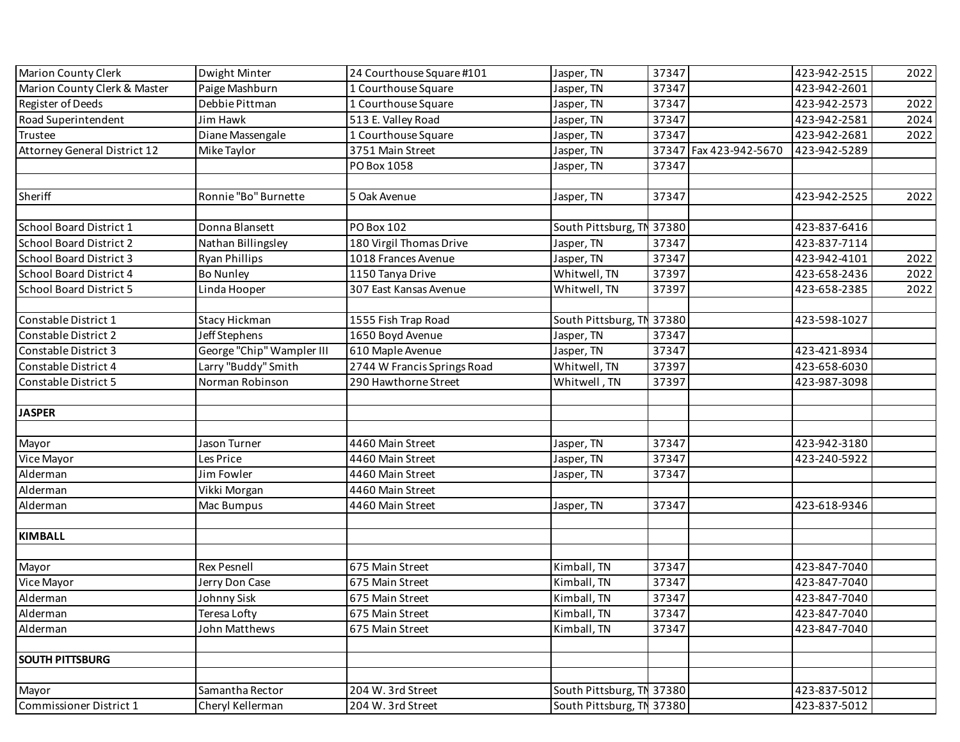| Marion County Clerk & Master<br>Paige Mashburn<br>37347<br>423-942-2601<br>1 Courthouse Square<br>Jasper, TN<br>Debbie Pittman<br>37347<br>423-942-2573<br>Register of Deeds<br>1 Courthouse Square<br>Jasper, TN<br>Road Superintendent<br>423-942-2581<br>Jim Hawk<br>513 E. Valley Road<br>37347<br>Jasper, TN<br>Diane Massengale<br>37347<br>1 Courthouse Square<br>423-942-2681<br>Trustee<br>Jasper, TN<br>Attorney General District 12<br>3751 Main Street<br>37347 Fax 423-942-5670<br>423-942-5289<br>Mike Taylor<br>Jasper, TN<br>PO Box 1058<br>37347<br>Jasper, TN<br>Sheriff<br>Ronnie "Bo" Burnette<br>5 Oak Avenue<br>37347<br>423-942-2525<br>Jasper, TN<br>South Pittsburg, TN 37380<br>Donna Blansett<br><b>PO Box 102</b><br>423-837-6416<br>School Board District 1<br>Nathan Billingsley<br>423-837-7114<br><b>School Board District 2</b><br>180 Virgil Thomas Drive<br>Jasper, TN<br>37347<br>37347<br><b>School Board District 3</b><br>1018 Frances Avenue<br>423-942-4101<br><b>Ryan Phillips</b><br>Jasper, TN<br>37397<br>423-658-2436<br><b>School Board District 4</b><br><b>Bo Nunley</b><br>1150 Tanya Drive<br>Whitwell, TN<br>School Board District 5<br>307 East Kansas Avenue<br>Whitwell, TN<br>37397<br>423-658-2385<br>Linda Hooper | <b>Marion County Clerk</b> | Dwight Minter | 24 Courthouse Square #101 | Jasper, TN                | 37347 | 423-942-2515 | 2022 |
|-----------------------------------------------------------------------------------------------------------------------------------------------------------------------------------------------------------------------------------------------------------------------------------------------------------------------------------------------------------------------------------------------------------------------------------------------------------------------------------------------------------------------------------------------------------------------------------------------------------------------------------------------------------------------------------------------------------------------------------------------------------------------------------------------------------------------------------------------------------------------------------------------------------------------------------------------------------------------------------------------------------------------------------------------------------------------------------------------------------------------------------------------------------------------------------------------------------------------------------------------------------------------------|----------------------------|---------------|---------------------------|---------------------------|-------|--------------|------|
|                                                                                                                                                                                                                                                                                                                                                                                                                                                                                                                                                                                                                                                                                                                                                                                                                                                                                                                                                                                                                                                                                                                                                                                                                                                                             |                            |               |                           |                           |       |              |      |
|                                                                                                                                                                                                                                                                                                                                                                                                                                                                                                                                                                                                                                                                                                                                                                                                                                                                                                                                                                                                                                                                                                                                                                                                                                                                             |                            |               |                           |                           |       |              | 2022 |
|                                                                                                                                                                                                                                                                                                                                                                                                                                                                                                                                                                                                                                                                                                                                                                                                                                                                                                                                                                                                                                                                                                                                                                                                                                                                             |                            |               |                           |                           |       |              | 2024 |
|                                                                                                                                                                                                                                                                                                                                                                                                                                                                                                                                                                                                                                                                                                                                                                                                                                                                                                                                                                                                                                                                                                                                                                                                                                                                             |                            |               |                           |                           |       |              | 2022 |
|                                                                                                                                                                                                                                                                                                                                                                                                                                                                                                                                                                                                                                                                                                                                                                                                                                                                                                                                                                                                                                                                                                                                                                                                                                                                             |                            |               |                           |                           |       |              |      |
|                                                                                                                                                                                                                                                                                                                                                                                                                                                                                                                                                                                                                                                                                                                                                                                                                                                                                                                                                                                                                                                                                                                                                                                                                                                                             |                            |               |                           |                           |       |              |      |
|                                                                                                                                                                                                                                                                                                                                                                                                                                                                                                                                                                                                                                                                                                                                                                                                                                                                                                                                                                                                                                                                                                                                                                                                                                                                             |                            |               |                           |                           |       |              |      |
|                                                                                                                                                                                                                                                                                                                                                                                                                                                                                                                                                                                                                                                                                                                                                                                                                                                                                                                                                                                                                                                                                                                                                                                                                                                                             |                            |               |                           |                           |       |              | 2022 |
|                                                                                                                                                                                                                                                                                                                                                                                                                                                                                                                                                                                                                                                                                                                                                                                                                                                                                                                                                                                                                                                                                                                                                                                                                                                                             |                            |               |                           |                           |       |              |      |
|                                                                                                                                                                                                                                                                                                                                                                                                                                                                                                                                                                                                                                                                                                                                                                                                                                                                                                                                                                                                                                                                                                                                                                                                                                                                             |                            |               |                           |                           |       |              |      |
|                                                                                                                                                                                                                                                                                                                                                                                                                                                                                                                                                                                                                                                                                                                                                                                                                                                                                                                                                                                                                                                                                                                                                                                                                                                                             |                            |               |                           |                           |       |              |      |
|                                                                                                                                                                                                                                                                                                                                                                                                                                                                                                                                                                                                                                                                                                                                                                                                                                                                                                                                                                                                                                                                                                                                                                                                                                                                             |                            |               |                           |                           |       |              | 2022 |
|                                                                                                                                                                                                                                                                                                                                                                                                                                                                                                                                                                                                                                                                                                                                                                                                                                                                                                                                                                                                                                                                                                                                                                                                                                                                             |                            |               |                           |                           |       |              | 2022 |
|                                                                                                                                                                                                                                                                                                                                                                                                                                                                                                                                                                                                                                                                                                                                                                                                                                                                                                                                                                                                                                                                                                                                                                                                                                                                             |                            |               |                           |                           |       |              | 2022 |
|                                                                                                                                                                                                                                                                                                                                                                                                                                                                                                                                                                                                                                                                                                                                                                                                                                                                                                                                                                                                                                                                                                                                                                                                                                                                             |                            |               |                           |                           |       |              |      |
|                                                                                                                                                                                                                                                                                                                                                                                                                                                                                                                                                                                                                                                                                                                                                                                                                                                                                                                                                                                                                                                                                                                                                                                                                                                                             | Constable District 1       | Stacy Hickman | 1555 Fish Trap Road       | South Pittsburg, TN 37380 |       | 423-598-1027 |      |
| Jeff Stephens<br>Constable District 2<br>1650 Boyd Avenue<br>37347<br>Jasper, TN                                                                                                                                                                                                                                                                                                                                                                                                                                                                                                                                                                                                                                                                                                                                                                                                                                                                                                                                                                                                                                                                                                                                                                                            |                            |               |                           |                           |       |              |      |
| George "Chip" Wampler III<br>37347<br>Constable District 3<br>610 Maple Avenue<br>423-421-8934<br>Jasper, TN                                                                                                                                                                                                                                                                                                                                                                                                                                                                                                                                                                                                                                                                                                                                                                                                                                                                                                                                                                                                                                                                                                                                                                |                            |               |                           |                           |       |              |      |
| Larry "Buddy" Smith<br>2744 W Francis Springs Road<br>Whitwell, TN<br>37397<br>423-658-6030<br>Constable District 4                                                                                                                                                                                                                                                                                                                                                                                                                                                                                                                                                                                                                                                                                                                                                                                                                                                                                                                                                                                                                                                                                                                                                         |                            |               |                           |                           |       |              |      |
| 423-987-3098<br>Constable District 5<br>Norman Robinson<br>290 Hawthorne Street<br>Whitwell, TN<br>37397                                                                                                                                                                                                                                                                                                                                                                                                                                                                                                                                                                                                                                                                                                                                                                                                                                                                                                                                                                                                                                                                                                                                                                    |                            |               |                           |                           |       |              |      |
|                                                                                                                                                                                                                                                                                                                                                                                                                                                                                                                                                                                                                                                                                                                                                                                                                                                                                                                                                                                                                                                                                                                                                                                                                                                                             |                            |               |                           |                           |       |              |      |
| <b>JASPER</b>                                                                                                                                                                                                                                                                                                                                                                                                                                                                                                                                                                                                                                                                                                                                                                                                                                                                                                                                                                                                                                                                                                                                                                                                                                                               |                            |               |                           |                           |       |              |      |
|                                                                                                                                                                                                                                                                                                                                                                                                                                                                                                                                                                                                                                                                                                                                                                                                                                                                                                                                                                                                                                                                                                                                                                                                                                                                             |                            |               |                           |                           |       |              |      |
| 37347<br>423-942-3180<br>Jason Turner<br>4460 Main Street<br>Jasper, TN<br>Mayor                                                                                                                                                                                                                                                                                                                                                                                                                                                                                                                                                                                                                                                                                                                                                                                                                                                                                                                                                                                                                                                                                                                                                                                            |                            |               |                           |                           |       |              |      |
| 37347<br>Vice Mayor<br>Les Price<br>Jasper, TN<br>423-240-5922<br>4460 Main Street                                                                                                                                                                                                                                                                                                                                                                                                                                                                                                                                                                                                                                                                                                                                                                                                                                                                                                                                                                                                                                                                                                                                                                                          |                            |               |                           |                           |       |              |      |
| Alderman<br>Jim Fowler<br>4460 Main Street<br>37347<br>Jasper, TN                                                                                                                                                                                                                                                                                                                                                                                                                                                                                                                                                                                                                                                                                                                                                                                                                                                                                                                                                                                                                                                                                                                                                                                                           |                            |               |                           |                           |       |              |      |
| Alderman<br>Vikki Morgan<br>4460 Main Street                                                                                                                                                                                                                                                                                                                                                                                                                                                                                                                                                                                                                                                                                                                                                                                                                                                                                                                                                                                                                                                                                                                                                                                                                                |                            |               |                           |                           |       |              |      |
| Alderman<br>37347<br>423-618-9346<br>Mac Bumpus<br>4460 Main Street<br>Jasper, TN                                                                                                                                                                                                                                                                                                                                                                                                                                                                                                                                                                                                                                                                                                                                                                                                                                                                                                                                                                                                                                                                                                                                                                                           |                            |               |                           |                           |       |              |      |
|                                                                                                                                                                                                                                                                                                                                                                                                                                                                                                                                                                                                                                                                                                                                                                                                                                                                                                                                                                                                                                                                                                                                                                                                                                                                             |                            |               |                           |                           |       |              |      |
| <b>KIMBALL</b>                                                                                                                                                                                                                                                                                                                                                                                                                                                                                                                                                                                                                                                                                                                                                                                                                                                                                                                                                                                                                                                                                                                                                                                                                                                              |                            |               |                           |                           |       |              |      |
|                                                                                                                                                                                                                                                                                                                                                                                                                                                                                                                                                                                                                                                                                                                                                                                                                                                                                                                                                                                                                                                                                                                                                                                                                                                                             |                            |               |                           |                           |       |              |      |
| <b>Rex Pesnell</b><br>675 Main Street<br>Kimball, TN<br>37347<br>423-847-7040<br>Mayor                                                                                                                                                                                                                                                                                                                                                                                                                                                                                                                                                                                                                                                                                                                                                                                                                                                                                                                                                                                                                                                                                                                                                                                      |                            |               |                           |                           |       |              |      |
| Kimball, TN<br>37347<br>423-847-7040<br>Vice Mayor<br>Jerry Don Case<br>675 Main Street                                                                                                                                                                                                                                                                                                                                                                                                                                                                                                                                                                                                                                                                                                                                                                                                                                                                                                                                                                                                                                                                                                                                                                                     |                            |               |                           |                           |       |              |      |
| 37347<br>Alderman<br>Johnny Sisk<br>675 Main Street<br>Kimball, TN<br>423-847-7040                                                                                                                                                                                                                                                                                                                                                                                                                                                                                                                                                                                                                                                                                                                                                                                                                                                                                                                                                                                                                                                                                                                                                                                          |                            |               |                           |                           |       |              |      |
| <b>Teresa Lofty</b><br>Kimball, TN<br>37347<br>423-847-7040<br>Alderman<br>675 Main Street                                                                                                                                                                                                                                                                                                                                                                                                                                                                                                                                                                                                                                                                                                                                                                                                                                                                                                                                                                                                                                                                                                                                                                                  |                            |               |                           |                           |       |              |      |
| Alderman<br>423-847-7040<br>John Matthews<br>675 Main Street<br>Kimball, TN<br>37347                                                                                                                                                                                                                                                                                                                                                                                                                                                                                                                                                                                                                                                                                                                                                                                                                                                                                                                                                                                                                                                                                                                                                                                        |                            |               |                           |                           |       |              |      |
|                                                                                                                                                                                                                                                                                                                                                                                                                                                                                                                                                                                                                                                                                                                                                                                                                                                                                                                                                                                                                                                                                                                                                                                                                                                                             |                            |               |                           |                           |       |              |      |
| <b>SOUTH PITTSBURG</b>                                                                                                                                                                                                                                                                                                                                                                                                                                                                                                                                                                                                                                                                                                                                                                                                                                                                                                                                                                                                                                                                                                                                                                                                                                                      |                            |               |                           |                           |       |              |      |
|                                                                                                                                                                                                                                                                                                                                                                                                                                                                                                                                                                                                                                                                                                                                                                                                                                                                                                                                                                                                                                                                                                                                                                                                                                                                             |                            |               |                           |                           |       |              |      |
| South Pittsburg, TN 37380<br>Mayor<br>Samantha Rector<br>204 W. 3rd Street<br>423-837-5012                                                                                                                                                                                                                                                                                                                                                                                                                                                                                                                                                                                                                                                                                                                                                                                                                                                                                                                                                                                                                                                                                                                                                                                  |                            |               |                           |                           |       |              |      |
| South Pittsburg, TN 37380<br>Commissioner District 1<br>Cheryl Kellerman<br>423-837-5012<br>204 W. 3rd Street                                                                                                                                                                                                                                                                                                                                                                                                                                                                                                                                                                                                                                                                                                                                                                                                                                                                                                                                                                                                                                                                                                                                                               |                            |               |                           |                           |       |              |      |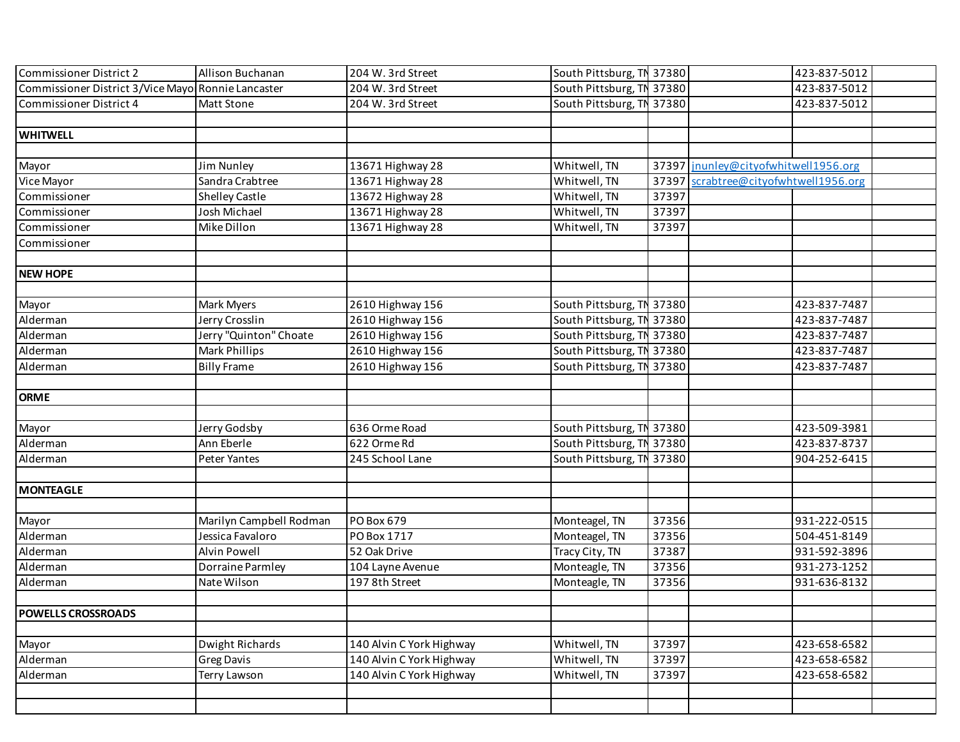| <b>Commissioner District 2</b>                     | Allison Buchanan        | 204 W. 3rd Street        | South Pittsburg, TN 37380 |       |                                      | 423-837-5012 |  |
|----------------------------------------------------|-------------------------|--------------------------|---------------------------|-------|--------------------------------------|--------------|--|
| Commissioner District 3/Vice Mayo Ronnie Lancaster |                         | 204 W. 3rd Street        | South Pittsburg, TN 37380 |       |                                      | 423-837-5012 |  |
| <b>Commissioner District 4</b>                     | <b>Matt Stone</b>       | 204 W. 3rd Street        | South Pittsburg, TN 37380 |       |                                      | 423-837-5012 |  |
|                                                    |                         |                          |                           |       |                                      |              |  |
| <b>WHITWELL</b>                                    |                         |                          |                           |       |                                      |              |  |
|                                                    |                         |                          |                           |       |                                      |              |  |
| Mayor                                              | Jim Nunley              | 13671 Highway 28         | Whitwell, TN              |       | 37397 jnunley@cityofwhitwell1956.org |              |  |
| Vice Mayor                                         | Sandra Crabtree         | 13671 Highway 28         | Whitwell, TN              | 37397 | scrabtree@cityofwhtwell1956.org      |              |  |
| Commissioner                                       | <b>Shelley Castle</b>   | 13672 Highway 28         | Whitwell, TN              | 37397 |                                      |              |  |
| Commissioner                                       | Josh Michael            | 13671 Highway 28         | Whitwell, TN              | 37397 |                                      |              |  |
| Commissioner                                       | Mike Dillon             | 13671 Highway 28         | Whitwell, TN              | 37397 |                                      |              |  |
| Commissioner                                       |                         |                          |                           |       |                                      |              |  |
|                                                    |                         |                          |                           |       |                                      |              |  |
| <b>NEW HOPE</b>                                    |                         |                          |                           |       |                                      |              |  |
|                                                    |                         |                          |                           |       |                                      |              |  |
| Mayor                                              | Mark Myers              | 2610 Highway 156         | South Pittsburg, TN 37380 |       |                                      | 423-837-7487 |  |
| Alderman                                           | Jerry Crosslin          | 2610 Highway 156         | South Pittsburg, TN 37380 |       |                                      | 423-837-7487 |  |
| Alderman                                           | Jerry "Quinton" Choate  | 2610 Highway 156         | South Pittsburg, TN 37380 |       |                                      | 423-837-7487 |  |
| Alderman                                           | Mark Phillips           | 2610 Highway 156         | South Pittsburg, TN 37380 |       |                                      | 423-837-7487 |  |
| Alderman                                           | <b>Billy Frame</b>      | 2610 Highway 156         | South Pittsburg, TN 37380 |       |                                      | 423-837-7487 |  |
|                                                    |                         |                          |                           |       |                                      |              |  |
| <b>ORME</b>                                        |                         |                          |                           |       |                                      |              |  |
|                                                    |                         |                          |                           |       |                                      |              |  |
| Mayor                                              | Jerry Godsby            | 636 Orme Road            | South Pittsburg, TN 37380 |       |                                      | 423-509-3981 |  |
| Alderman                                           | Ann Eberle              | 622 Orme Rd              | South Pittsburg, TN 37380 |       |                                      | 423-837-8737 |  |
| Alderman                                           | Peter Yantes            | 245 School Lane          | South Pittsburg, TN 37380 |       |                                      | 904-252-6415 |  |
|                                                    |                         |                          |                           |       |                                      |              |  |
| <b>MONTEAGLE</b>                                   |                         |                          |                           |       |                                      |              |  |
|                                                    |                         |                          |                           |       |                                      |              |  |
| Mayor                                              | Marilyn Campbell Rodman | PO Box 679               | Monteagel, TN             | 37356 |                                      | 931-222-0515 |  |
| Alderman                                           | Jessica Favaloro        | PO Box 1717              | Monteagel, TN             | 37356 |                                      | 504-451-8149 |  |
| Alderman                                           | <b>Alvin Powell</b>     | 52 Oak Drive             | Tracy City, TN            | 37387 |                                      | 931-592-3896 |  |
| Alderman                                           | Dorraine Parmley        | 104 Layne Avenue         | Monteagle, TN             | 37356 |                                      | 931-273-1252 |  |
| Alderman                                           | Nate Wilson             | 197 8th Street           | Monteagle, TN             | 37356 |                                      | 931-636-8132 |  |
|                                                    |                         |                          |                           |       |                                      |              |  |
| <b>POWELLS CROSSROADS</b>                          |                         |                          |                           |       |                                      |              |  |
|                                                    |                         |                          |                           |       |                                      |              |  |
| Mayor                                              | Dwight Richards         | 140 Alvin C York Highway | Whitwell, TN              | 37397 |                                      | 423-658-6582 |  |
| Alderman                                           | Greg Davis              | 140 Alvin C York Highway | Whitwell, TN              | 37397 |                                      | 423-658-6582 |  |
| Alderman                                           | Terry Lawson            | 140 Alvin C York Highway | Whitwell, TN              | 37397 |                                      | 423-658-6582 |  |
|                                                    |                         |                          |                           |       |                                      |              |  |
|                                                    |                         |                          |                           |       |                                      |              |  |